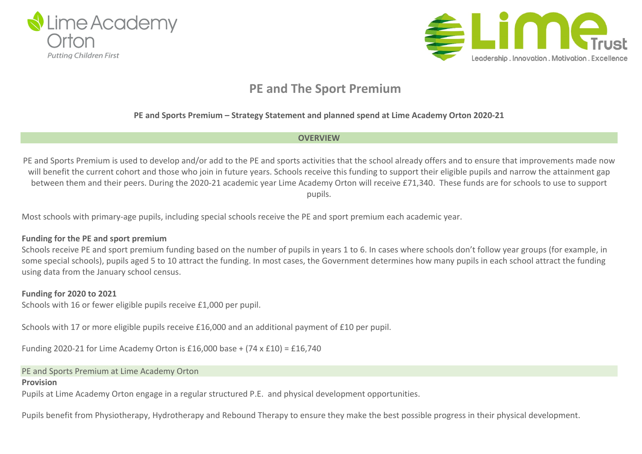



## **PE and The Sport Premium**

## **PE and Sports Premium – Strategy Statement and planned spend at Lime Academy Orton 2020-21**

#### **OVERVIEW**

PE and Sports Premium is used to develop and/or add to the PE and sports activities that the school already offers and to ensure that improvements made now will benefit the current cohort and those who join in future years. Schools receive this funding to support their eligible pupils and narrow the attainment gap between them and their peers. During the 2020-21 academic year Lime Academy Orton will receive £71,340. These funds are for schools to use to support pupils.

Most schools with primary-age pupils, including special schools receive the PE and sport premium each academic year.

#### **Funding for the PE and sport premium**

Schools receive PE and sport premium funding based on the number of pupils in years 1 to 6. In cases where schools don't follow year groups (for example, in some special schools), pupils aged 5 to 10 attract the funding. In most cases, the Government determines how many pupils in each school attract the funding using data from the January school census.

### **Funding for 2020 to 2021**

Schools with 16 or fewer eligible pupils receive £1,000 per pupil.

Schools with 17 or more eligible pupils receive £16,000 and an additional payment of £10 per pupil.

Funding 2020-21 for Lime Academy Orton is £16,000 base +  $(74 \times 210) = 216,740$ 

#### PE and Sports Premium at Lime Academy Orton

#### **Provision**

Pupils at Lime Academy Orton engage in a regular structured P.E. and physical development opportunities.

Pupils benefit from Physiotherapy, Hydrotherapy and Rebound Therapy to ensure they make the best possible progress in their physical development.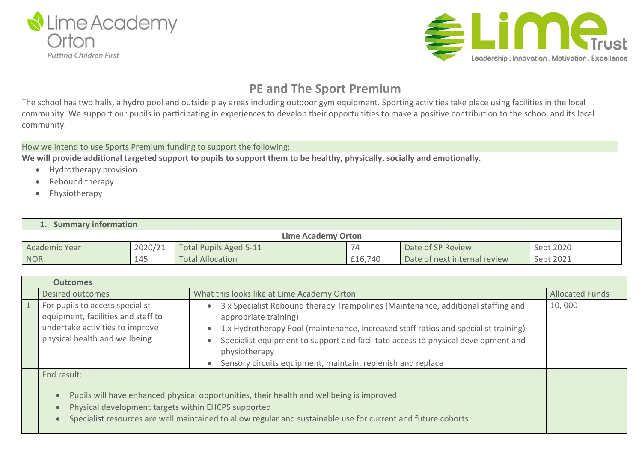



# **PE and The Sport Premium**

The school has two halls, a hydro pool and outside play areas including outdoor gym equipment. Sporting activities take place using facilities in the local community. We support our pupils in participating in experiences to develop their opportunities to make a positive contribution to the school and its local community.

How we intend to use Sports Premium funding to support the following:

We will provide additional targeted support to pupils to support them to be healthy, physically, socially and emotionally.

- Hydrotherapy provision
- Rebound therapy
- Physiotherapy

| <b>Summary information</b> |         |                         |         |                              |           |  |  |
|----------------------------|---------|-------------------------|---------|------------------------------|-----------|--|--|
| <b>Lime Academy Orton</b>  |         |                         |         |                              |           |  |  |
| <b>Academic Year</b>       | 2020/21 | Total Pupils Aged 5-11  | 7Δ      | Date of SP Review            | Sept 2020 |  |  |
| <b>NOR</b>                 | 145     | <b>Total Allocation</b> | £16,740 | Date of next internal review | Sept 2021 |  |  |

| <b>Outcomes</b> |                                                                                                                                           |                                                                                                                                                                                                                                                                                                                                                                       |                        |  |  |
|-----------------|-------------------------------------------------------------------------------------------------------------------------------------------|-----------------------------------------------------------------------------------------------------------------------------------------------------------------------------------------------------------------------------------------------------------------------------------------------------------------------------------------------------------------------|------------------------|--|--|
|                 | Desired outcomes                                                                                                                          | What this looks like at Lime Academy Orton                                                                                                                                                                                                                                                                                                                            | <b>Allocated Funds</b> |  |  |
|                 | For pupils to access specialist<br>equipment, facilities and staff to<br>undertake activities to improve<br>physical health and wellbeing | 3 x Specialist Rebound therapy Trampolines (Maintenance, additional staffing and<br>appropriate training)<br>1 x Hydrotherapy Pool (maintenance, increased staff ratios and specialist training)<br>Specialist equipment to support and facilitate access to physical development and<br>physiotherapy<br>Sensory circuits equipment, maintain, replenish and replace | 10,000                 |  |  |
|                 | End result:<br>$\bullet$<br>Physical development targets within EHCPS supported<br>$\bullet$                                              | Pupils will have enhanced physical opportunities, their health and wellbeing is improved<br>Specialist resources are well maintained to allow regular and sustainable use for current and future cohorts                                                                                                                                                              |                        |  |  |